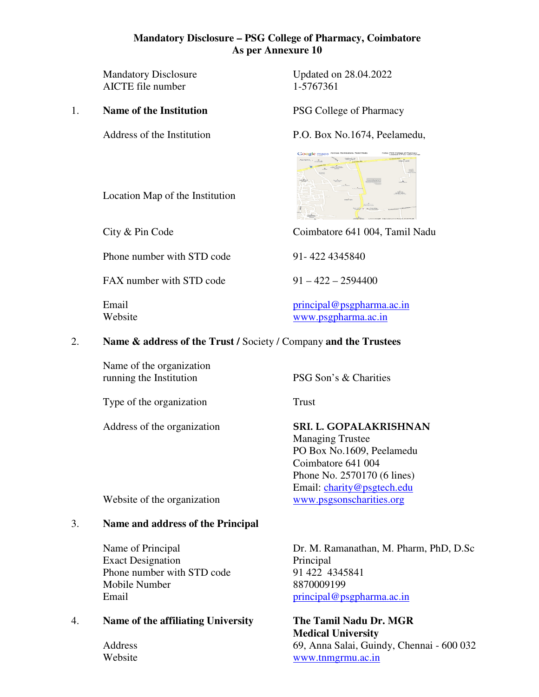## **Mandatory Disclosure – PSG College of Pharmacy, Coimbatore As per Annexure 10**

AICTE file number

#### 1. **Name of the Institution** PSG College of Pharmacy

Mandatory Disclosure Updated on 28.04.2022<br>AICTE file number 1-5767361

Address of the Institution P.O. Box No.1674, Peelamedu,



City & Pin Code Coimbatore 641 004, Tamil Nadu

Email principal@psgpharma.ac.in Website www.psgpharma.ac.in

#### 2. **Name & address of the Trust /** Society / Company **and the Trustees**

Name of the organization running the Institution PSG Son's & Charities

Type of the organization Trust

Address of the organization **SRI. L. GOPALAKRISHNAN** 

 Managing Trustee PO Box No.1609, Peelamedu Coimbatore 641 004 Phone No. 2570170 (6 lines) Email: charity@psgtech.edu

Website of the organization www.psgsonscharities.org

## 3. **Name and address of the Principal**

Exact Designation Principal Phone number with STD code 91 422 4345841 Mobile Number 8870009199 Email principal@psgpharma.ac.in

## 4. **Name of the affiliating University The Tamil Nadu Dr. MGR**

Name of Principal **Dr. M. Ramanathan, M. Pharm, PhD, D.Sc** 

 **Medical University** Address 69, Anna Salai, Guindy, Chennai - 600 032 Website www.tnmgrmu.ac.in

Location Map of the Institution

Phone number with STD code 91-422 4345840

FAX number with STD code  $91 - 422 - 2594400$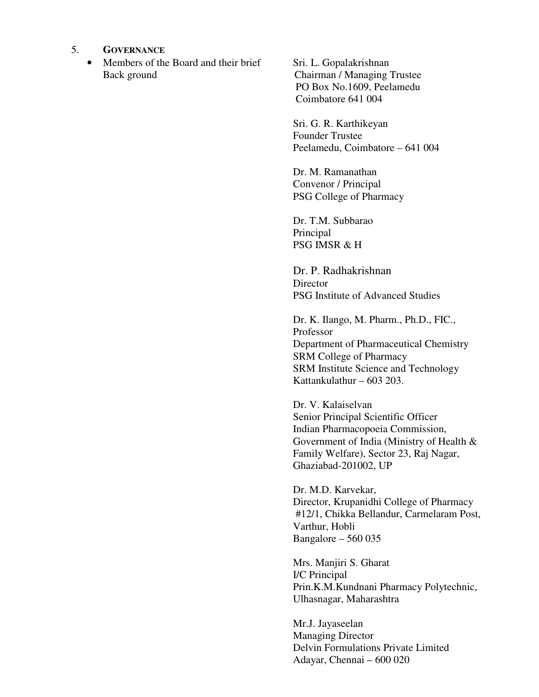- 5. **GOVERNANCE**
	- Members of the Board and their brief Sri. L. Gopalakrishnan Back ground Chairman / Managing Trustee

 PO Box No.1609, Peelamedu Coimbatore 641 004

Sri. G. R. Karthikeyan Founder Trustee Peelamedu, Coimbatore – 641 004

Dr. M. Ramanathan Convenor / Principal PSG College of Pharmacy

Dr. T.M. Subbarao Principal PSG IMSR & H

Dr. P. Radhakrishnan **Director** PSG Institute of Advanced Studies

Dr. K. Ilango, M. Pharm., Ph.D., FIC., Professor Department of Pharmaceutical Chemistry SRM College of Pharmacy SRM Institute Science and Technology Kattankulathur – 603 203.

Dr. V. Kalaiselvan Senior Principal Scientific Officer Indian Pharmacopoeia Commission, Government of India (Ministry of Health & Family Welfare), Sector 23, Raj Nagar, Ghaziabad-201002, UP

Dr. M.D. Karvekar, Director, Krupanidhi College of Pharmacy #12/1, Chikka Bellandur, Carmelaram Post, Varthur, Hobli Bangalore – 560 035

Mrs. Manjiri S. Gharat I/C Principal Prin.K.M.Kundnani Pharmacy Polytechnic, Ulhasnagar, Maharashtra

Mr.J. Jayaseelan Managing Director Delvin Formulations Private Limited Adayar, Chennai – 600 020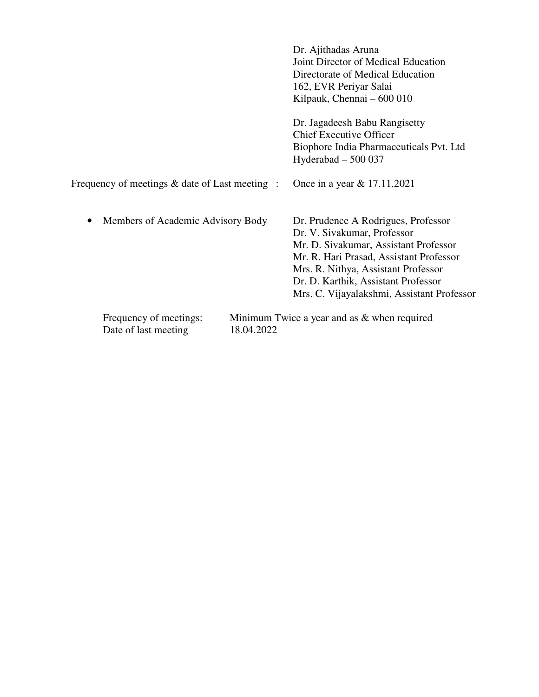|                                                | Dr. Ajithadas Aruna<br>Joint Director of Medical Education<br>Directorate of Medical Education<br>162, EVR Periyar Salai<br>Kilpauk, Chennai – 600 010                                                                                                                             |
|------------------------------------------------|------------------------------------------------------------------------------------------------------------------------------------------------------------------------------------------------------------------------------------------------------------------------------------|
|                                                | Dr. Jagadeesh Babu Rangisetty<br><b>Chief Executive Officer</b><br>Biophore India Pharmaceuticals Pvt. Ltd<br>Hyderabad $-500037$                                                                                                                                                  |
| Frequency of meetings & date of Last meeting : | Once in a year & 17.11.2021                                                                                                                                                                                                                                                        |
| Members of Academic Advisory Body              | Dr. Prudence A Rodrigues, Professor<br>Dr. V. Sivakumar, Professor<br>Mr. D. Sivakumar, Assistant Professor<br>Mr. R. Hari Prasad, Assistant Professor<br>Mrs. R. Nithya, Assistant Professor<br>Dr. D. Karthik, Assistant Professor<br>Mrs. C. Vijayalakshmi, Assistant Professor |
| Frequency of meetings:<br>Date of last meeting | Minimum Twice a year and as $&$ when required<br>18.04.2022                                                                                                                                                                                                                        |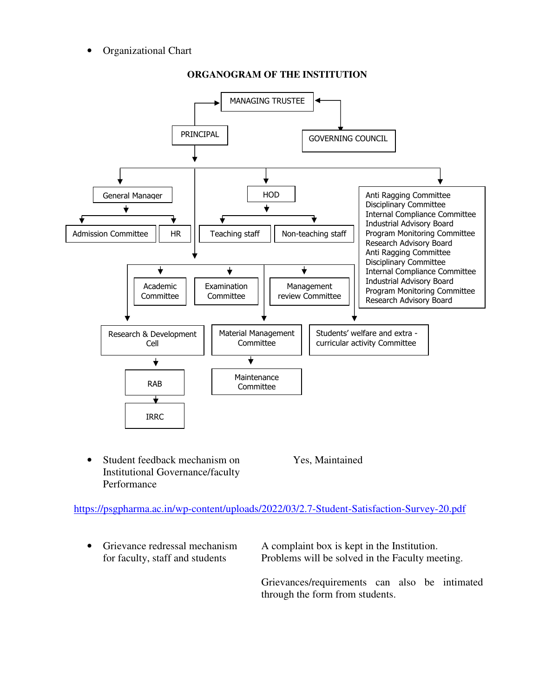• Organizational Chart



## **ORGANOGRAM OF THE INSTITUTION**

• Student feedback mechanism on Yes, Maintained Institutional Governance/faculty Performance

https://psgpharma.ac.in/wp-content/uploads/2022/03/2.7-Student-Satisfaction-Survey-20.pdf

• Grievance redressal mechanism A complaint box is kept in the Institution. for faculty, staff and students Problems will be solved in the Faculty meeting.

> Grievances/requirements can also be intimated through the form from students.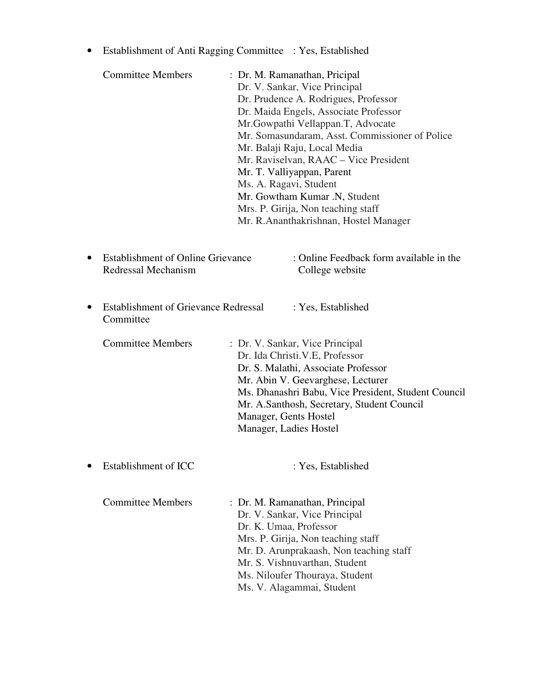• Establishment of Anti Ragging Committee : Yes, Established

| <b>Committee Members</b>                                        | Ms. A. Ragavi, Student                          | : Dr. M. Ramanathan, Pricipal<br>Dr. V. Sankar, Vice Principal<br>Dr. Prudence A. Rodrigues, Professor<br>Dr. Maida Engels, Associate Professor<br>Mr. Gowpathi Vellappan. T, Advocate<br>Mr. Somasundaram, Asst. Commissioner of Police<br>Mr. Balaji Raju, Local Media<br>Mr. Raviselvan, RAAC - Vice President<br>Mr. T. Valliyappan, Parent<br>Mr. Gowtham Kumar .N, Student<br>Mrs. P. Girija, Non teaching staff<br>Mr. R.Ananthakrishnan, Hostel Manager |
|-----------------------------------------------------------------|-------------------------------------------------|-----------------------------------------------------------------------------------------------------------------------------------------------------------------------------------------------------------------------------------------------------------------------------------------------------------------------------------------------------------------------------------------------------------------------------------------------------------------|
| <b>Establishment of Online Grievance</b><br>Redressal Mechanism |                                                 | : Online Feedback form available in the<br>College website                                                                                                                                                                                                                                                                                                                                                                                                      |
| <b>Establishment of Grievance Redressal</b><br>Committee        |                                                 | : Yes, Established                                                                                                                                                                                                                                                                                                                                                                                                                                              |
| <b>Committee Members</b>                                        | Manager, Gents Hostel<br>Manager, Ladies Hostel | : Dr. V. Sankar, Vice Principal<br>Dr. Ida Christi. V.E, Professor<br>Dr. S. Malathi, Associate Professor<br>Mr. Abin V. Geevarghese, Lecturer<br>Ms. Dhanashri Babu, Vice President, Student Council<br>Mr. A.Santhosh, Secretary, Student Council                                                                                                                                                                                                             |
| Establishment of ICC                                            |                                                 | : Yes, Established                                                                                                                                                                                                                                                                                                                                                                                                                                              |
| <b>Committee Members</b>                                        | Dr. K. Umaa, Professor                          | : Dr. M. Ramanathan, Principal<br>Dr. V. Sankar, Vice Principal<br>Mrs. P. Girija, Non teaching staff<br>Mr. D. Arunprakaash, Non teaching staff<br>Mr. S. Vishnuvarthan, Student<br>Ms. Niloufer Thouraya, Student<br>Ms. V. Alagammai, Student                                                                                                                                                                                                                |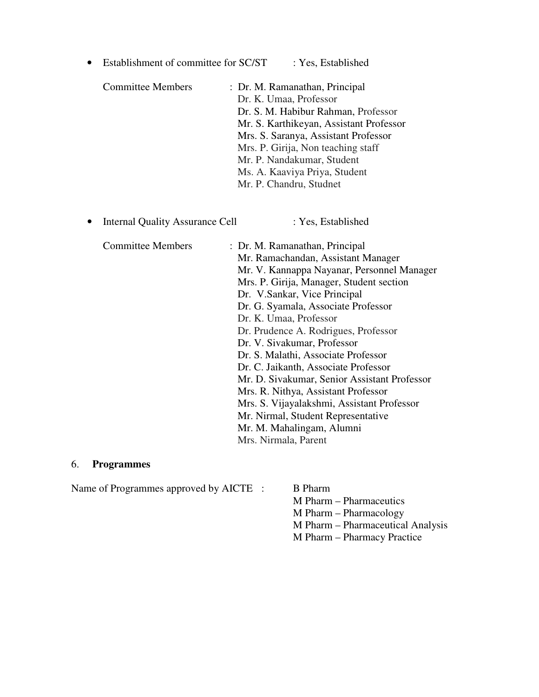| Establishment of committee for SC/ST   | : Yes, Established                                                                                                                                                                                                                                                                                                                                                                                                                                                                                                                                                                                                                                    |
|----------------------------------------|-------------------------------------------------------------------------------------------------------------------------------------------------------------------------------------------------------------------------------------------------------------------------------------------------------------------------------------------------------------------------------------------------------------------------------------------------------------------------------------------------------------------------------------------------------------------------------------------------------------------------------------------------------|
| <b>Committee Members</b>               | : Dr. M. Ramanathan, Principal<br>Dr. K. Umaa, Professor<br>Dr. S. M. Habibur Rahman, Professor<br>Mr. S. Karthikeyan, Assistant Professor<br>Mrs. S. Saranya, Assistant Professor<br>Mrs. P. Girija, Non teaching staff<br>Mr. P. Nandakumar, Student<br>Ms. A. Kaaviya Priya, Student<br>Mr. P. Chandru, Studnet                                                                                                                                                                                                                                                                                                                                    |
| <b>Internal Quality Assurance Cell</b> | : Yes, Established                                                                                                                                                                                                                                                                                                                                                                                                                                                                                                                                                                                                                                    |
| <b>Committee Members</b>               | : Dr. M. Ramanathan, Principal<br>Mr. Ramachandan, Assistant Manager<br>Mr. V. Kannappa Nayanar, Personnel Manager<br>Mrs. P. Girija, Manager, Student section<br>Dr. V.Sankar, Vice Principal<br>Dr. G. Syamala, Associate Professor<br>Dr. K. Umaa, Professor<br>Dr. Prudence A. Rodrigues, Professor<br>Dr. V. Sivakumar, Professor<br>Dr. S. Malathi, Associate Professor<br>Dr. C. Jaikanth, Associate Professor<br>Mr. D. Sivakumar, Senior Assistant Professor<br>Mrs. R. Nithya, Assistant Professor<br>Mrs. S. Vijayalakshmi, Assistant Professor<br>Mr. Nirmal, Student Representative<br>Mr. M. Mahalingam, Alumni<br>Mrs. Nirmala, Parent |

## 6. **Programmes**

Name of Programmes approved by AICTE : B Pharm

M Pharm – Pharmaceutics M Pharm – Pharmacology

- M Pharm Pharmaceutical Analysis
- M Pharm Pharmacy Practice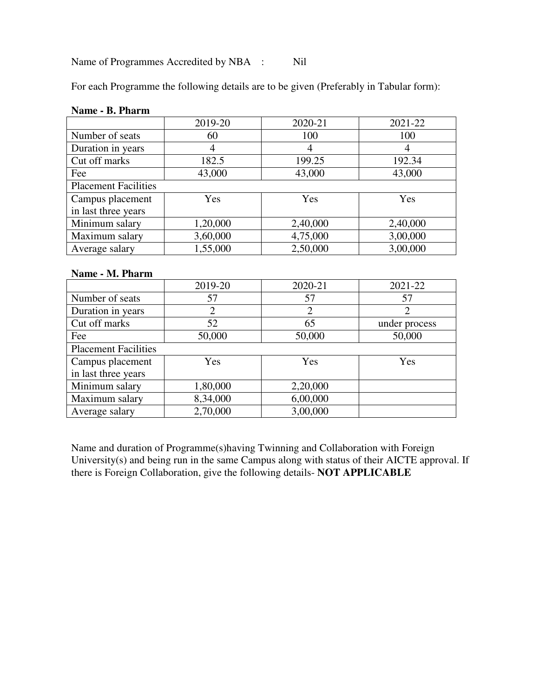Name of Programmes Accredited by NBA : Nil

For each Programme the following details are to be given (Preferably in Tabular form):

|                             | 2019-20  | 2020-21  | 2021-22  |  |  |
|-----------------------------|----------|----------|----------|--|--|
| Number of seats             | 60       | 100      | 100      |  |  |
| Duration in years           | 4        | 4        | 4        |  |  |
| Cut off marks               | 182.5    | 199.25   | 192.34   |  |  |
| Fee                         | 43,000   | 43,000   | 43,000   |  |  |
| <b>Placement Facilities</b> |          |          |          |  |  |
| Campus placement            | Yes      | Yes      | Yes      |  |  |
| in last three years         |          |          |          |  |  |
| Minimum salary              | 1,20,000 | 2,40,000 | 2,40,000 |  |  |
| Maximum salary              | 3,60,000 | 4,75,000 | 3,00,000 |  |  |
| Average salary              | 1,55,000 | 2,50,000 | 3,00,000 |  |  |

### **Name - B. Pharm**

#### **Name - M. Pharm**

|                             | 2019-20        | 2020-21        | 2021-22       |
|-----------------------------|----------------|----------------|---------------|
| Number of seats             | 57             | 57             | 57            |
| Duration in years           | $\overline{2}$ | $\overline{2}$ |               |
| Cut off marks               | 52             | 65             | under process |
| Fee                         | 50,000         | 50,000         | 50,000        |
| <b>Placement Facilities</b> |                |                |               |
| Campus placement            | Yes            | Yes            | Yes           |
| in last three years         |                |                |               |
| Minimum salary              | 1,80,000       | 2,20,000       |               |
| Maximum salary              | 8,34,000       | 6,00,000       |               |
| Average salary              | 2,70,000       | 3,00,000       |               |

Name and duration of Programme(s)having Twinning and Collaboration with Foreign University(s) and being run in the same Campus along with status of their AICTE approval. If there is Foreign Collaboration, give the following details- **NOT APPLICABLE**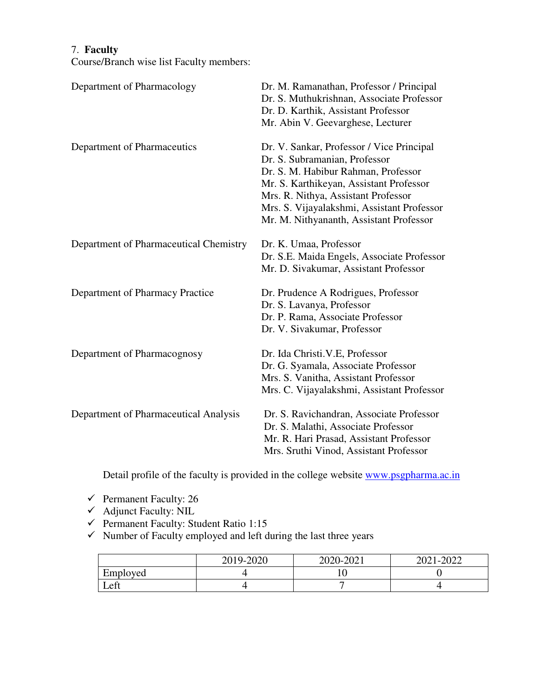# 7. **Faculty**

Course/Branch wise list Faculty members:

| Department of Pharmacology             | Dr. M. Ramanathan, Professor / Principal<br>Dr. S. Muthukrishnan, Associate Professor<br>Dr. D. Karthik, Assistant Professor<br>Mr. Abin V. Geevarghese, Lecturer                                                                                                                            |
|----------------------------------------|----------------------------------------------------------------------------------------------------------------------------------------------------------------------------------------------------------------------------------------------------------------------------------------------|
| Department of Pharmaceutics            | Dr. V. Sankar, Professor / Vice Principal<br>Dr. S. Subramanian, Professor<br>Dr. S. M. Habibur Rahman, Professor<br>Mr. S. Karthikeyan, Assistant Professor<br>Mrs. R. Nithya, Assistant Professor<br>Mrs. S. Vijayalakshmi, Assistant Professor<br>Mr. M. Nithyananth, Assistant Professor |
| Department of Pharmaceutical Chemistry | Dr. K. Umaa, Professor<br>Dr. S.E. Maida Engels, Associate Professor<br>Mr. D. Sivakumar, Assistant Professor                                                                                                                                                                                |
| Department of Pharmacy Practice        | Dr. Prudence A Rodrigues, Professor<br>Dr. S. Lavanya, Professor<br>Dr. P. Rama, Associate Professor<br>Dr. V. Sivakumar, Professor                                                                                                                                                          |
| Department of Pharmacognosy            | Dr. Ida Christi. V.E, Professor<br>Dr. G. Syamala, Associate Professor<br>Mrs. S. Vanitha, Assistant Professor<br>Mrs. C. Vijayalakshmi, Assistant Professor                                                                                                                                 |
| Department of Pharmaceutical Analysis  | Dr. S. Ravichandran, Associate Professor<br>Dr. S. Malathi, Associate Professor<br>Mr. R. Hari Prasad, Assistant Professor<br>Mrs. Sruthi Vinod, Assistant Professor                                                                                                                         |

Detail profile of the faculty is provided in the college website www.psgpharma.ac.in

- $\checkmark$  Permanent Faculty: 26
- $\checkmark$  Adjunct Faculty: NIL
- $\checkmark$  Permanent Faculty: Student Ratio 1:15
- $\checkmark$  Number of Faculty employed and left during the last three years

|              | 2019-2020 | 2020-2021 | 2021-2022 |
|--------------|-----------|-----------|-----------|
| Employed     |           |           |           |
| $\mathsf{f}$ |           |           |           |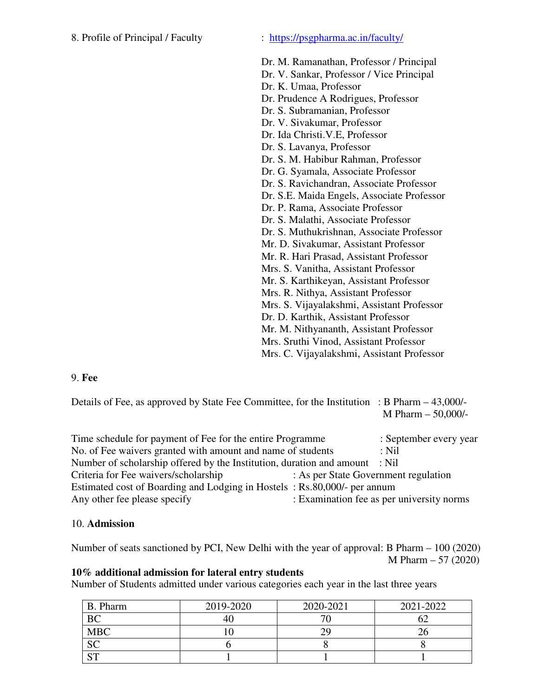## 8. Profile of Principal / Faculty : https://psgpharma.ac.in/faculty/

- Dr. M. Ramanathan, Professor / Principal
- Dr. V. Sankar, Professor / Vice Principal
- Dr. K. Umaa, Professor
- Dr. Prudence A Rodrigues, Professor
- Dr. S. Subramanian, Professor
- Dr. V. Sivakumar, Professor
- Dr. Ida Christi.V.E, Professor
- Dr. S. Lavanya, Professor
- Dr. S. M. Habibur Rahman, Professor
- Dr. G. Syamala, Associate Professor
- Dr. S. Ravichandran, Associate Professor
- Dr. S.E. Maida Engels, Associate Professor
- Dr. P. Rama, Associate Professor
- Dr. S. Malathi, Associate Professor
- Dr. S. Muthukrishnan, Associate Professor
- Mr. D. Sivakumar, Assistant Professor
- Mr. R. Hari Prasad, Assistant Professor
- Mrs. S. Vanitha, Assistant Professor
- Mr. S. Karthikeyan, Assistant Professor
- Mrs. R. Nithya, Assistant Professor

Mrs. S. Vijayalakshmi, Assistant Professor

Dr. D. Karthik, Assistant Professor

Mr. M. Nithyananth, Assistant Professor

Mrs. Sruthi Vinod, Assistant Professor

Mrs. C. Vijayalakshmi, Assistant Professor

## 9. **Fee**

Details of Fee, as approved by State Fee Committee, for the Institution : B Pharm – 43,000/- M Pharm – 50,000/-

| Time schedule for payment of Fee for the entire Programme                   |                                      | : September every year                    |
|-----------------------------------------------------------------------------|--------------------------------------|-------------------------------------------|
| No. of Fee waivers granted with amount and name of students                 |                                      | $:$ Nil                                   |
| Number of scholarship offered by the Institution, duration and amount : Nil |                                      |                                           |
| Criteria for Fee waivers/scholarship                                        | : As per State Government regulation |                                           |
| Estimated cost of Boarding and Lodging in Hostels: Rs.80,000/- per annum    |                                      |                                           |
| Any other fee please specify                                                |                                      | : Examination fee as per university norms |

#### 10. **Admission**

Number of seats sanctioned by PCI, New Delhi with the year of approval: B Pharm – 100 (2020) M Pharm – 57 (2020)

## **10% additional admission for lateral entry students**

Number of Students admitted under various categories each year in the last three years

| B. Pharm       | 2019-2020 | 2020-2021 | 2021-2022 |
|----------------|-----------|-----------|-----------|
| <b>BC</b>      | 40.       |           |           |
| <b>MBC</b>     |           | ЭC        |           |
| <b>SC</b>      |           |           |           |
| C <sub>T</sub> |           |           |           |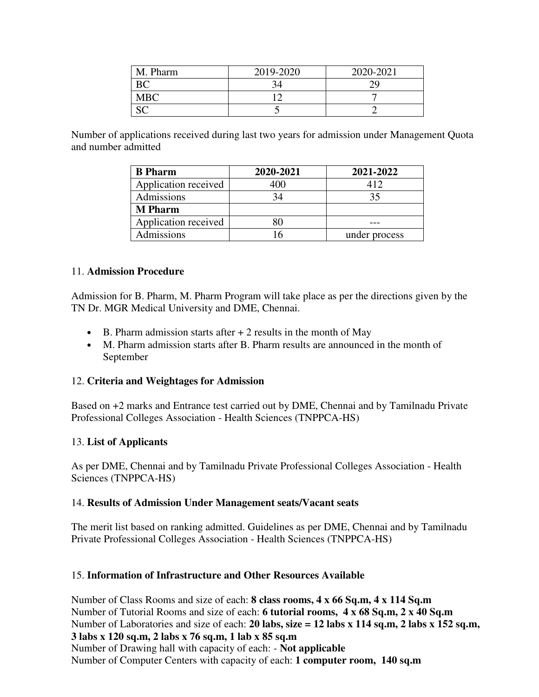| M. Pharm   | 2019-2020 | 2020-2021 |
|------------|-----------|-----------|
| BC         |           |           |
| <b>MBC</b> |           |           |
|            |           |           |

Number of applications received during last two years for admission under Management Quota and number admitted

| <b>B</b> Pharm       | 2020-2021 | 2021-2022     |
|----------------------|-----------|---------------|
| Application received | 400       | 412           |
| Admissions           |           | 35            |
| <b>M</b> Pharm       |           |               |
| Application received |           |               |
| Admissions           |           | under process |

## 11. **Admission Procedure**

Admission for B. Pharm, M. Pharm Program will take place as per the directions given by the TN Dr. MGR Medical University and DME, Chennai.

- B. Pharm admission starts after  $+2$  results in the month of May
- M. Pharm admission starts after B. Pharm results are announced in the month of September

## 12. **Criteria and Weightages for Admission**

Based on +2 marks and Entrance test carried out by DME, Chennai and by Tamilnadu Private Professional Colleges Association - Health Sciences (TNPPCA-HS)

## 13. **List of Applicants**

As per DME, Chennai and by Tamilnadu Private Professional Colleges Association - Health Sciences (TNPPCA-HS)

## 14. **Results of Admission Under Management seats/Vacant seats**

The merit list based on ranking admitted. Guidelines as per DME, Chennai and by Tamilnadu Private Professional Colleges Association - Health Sciences (TNPPCA-HS)

## 15. **Information of Infrastructure and Other Resources Available**

Number of Class Rooms and size of each: **8 class rooms, 4 x 66 Sq.m, 4 x 114 Sq.m** Number of Tutorial Rooms and size of each: **6 tutorial rooms, 4 x 68 Sq.m, 2 x 40 Sq.m** Number of Laboratories and size of each: **20 labs, size = 12 labs x 114 sq.m, 2 labs x 152 sq.m, 3 labs x 120 sq.m, 2 labs x 76 sq.m, 1 lab x 85 sq.m** 

Number of Drawing hall with capacity of each: - **Not applicable** Number of Computer Centers with capacity of each: **1 computer room, 140 sq.m**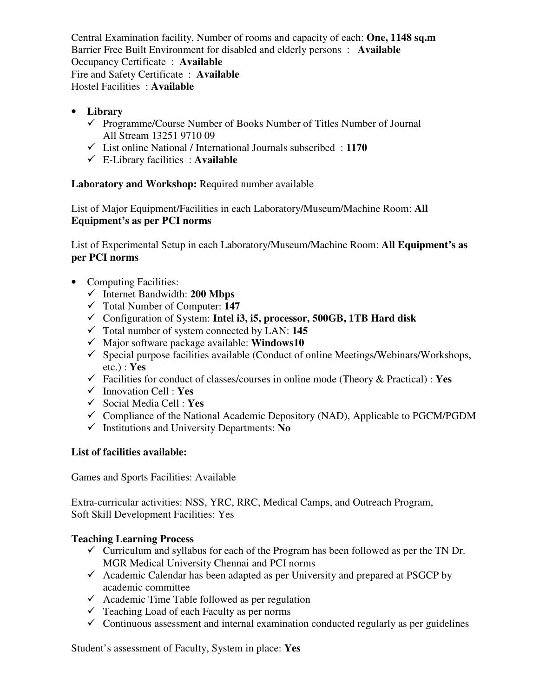Central Examination facility, Number of rooms and capacity of each: **One, 1148 sq.m** Barrier Free Built Environment for disabled and elderly persons : **Available** Occupancy Certificate : **Available** Fire and Safety Certificate : **Available** Hostel Facilities : **Available**

- **Library** 
	- $\checkmark$  Programme/Course Number of Books Number of Titles Number of Journal All Stream 13251 9710 09
	- List online National / International Journals subscribed : **1170**
	- E-Library facilities : **Available**

**Laboratory and Workshop:** Required number available

List of Major Equipment/Facilities in each Laboratory/Museum/Machine Room: **All Equipment's as per PCI norms** 

List of Experimental Setup in each Laboratory/Museum/Machine Room: **All Equipment's as per PCI norms** 

- Computing Facilities:
	- Internet Bandwidth: **200 Mbps**
	- Total Number of Computer: **147**
	- Configuration of System: **Intel i3, i5, processor, 500GB, 1TB Hard disk**
	- Total number of system connected by LAN: **145**
	- Major software package available: **Windows10**
	- $\checkmark$  Special purpose facilities available (Conduct of online Meetings/Webinars/Workshops, etc.) : **Yes**
	- Facilities for conduct of classes/courses in online mode (Theory & Practical) : **Yes**
	- Innovation Cell : **Yes**
	- Social Media Cell : **Yes**
	- $\checkmark$  Compliance of the National Academic Depository (NAD), Applicable to PGCM/PGDM
	- Institutions and University Departments: **No**

# **List of facilities available:**

Games and Sports Facilities: Available

Extra-curricular activities: NSS, YRC, RRC, Medical Camps, and Outreach Program, Soft Skill Development Facilities: Yes

# **Teaching Learning Process**

- $\checkmark$  Curriculum and syllabus for each of the Program has been followed as per the TN Dr. MGR Medical University Chennai and PCI norms
- $\checkmark$  Academic Calendar has been adapted as per University and prepared at PSGCP by academic committee
- $\checkmark$  Academic Time Table followed as per regulation
- $\checkmark$  Teaching Load of each Faculty as per norms
- $\checkmark$  Continuous assessment and internal examination conducted regularly as per guidelines

Student's assessment of Faculty, System in place: **Yes**